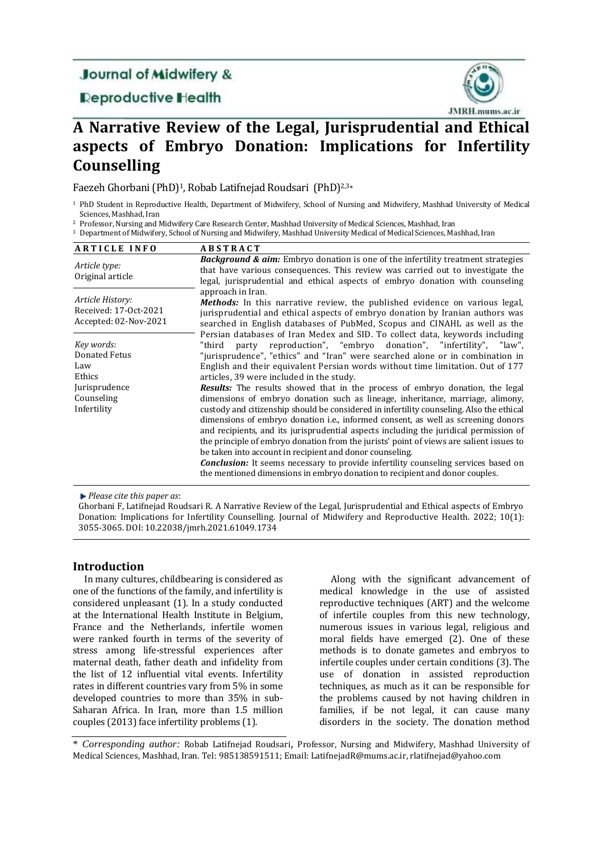# **Journal of Midwifery &**

# **Deproductive Health**



# **A Narrative Review of the Legal, Jurisprudential and Ethical aspects of Embryo Donation: Implications for Infertility Counselling**

Faezeh Ghorbani (PhD)1, Robab Latifnejad Roudsari (PhD)2,3\*

<sup>1</sup> PhD Student in Reproductive Health, Department of Midwifery, School of Nursing and Midwifery, Mashhad University of Medical Sciences, Mashhad, Iran

<sup>2</sup> Professor, Nursing and Midwifery Care Research Center, Mashhad University of Medical Sciences, Mashhad, Iran

<sup>3</sup> Department of Midwifery, School of Nursing and Midwifery, Mashhad University Medical of Medical Sciences, Mashhad, Iran

| <b>ARTICLE INFO</b>                                                                        | <b>ABSTRACT</b>                                                                                                                                                                                                                                                                                                                                                                                                                                                                                                                                                                                                                                                                                                                                                                                                                                                                                                                                                                                                                                                                       |
|--------------------------------------------------------------------------------------------|---------------------------------------------------------------------------------------------------------------------------------------------------------------------------------------------------------------------------------------------------------------------------------------------------------------------------------------------------------------------------------------------------------------------------------------------------------------------------------------------------------------------------------------------------------------------------------------------------------------------------------------------------------------------------------------------------------------------------------------------------------------------------------------------------------------------------------------------------------------------------------------------------------------------------------------------------------------------------------------------------------------------------------------------------------------------------------------|
| Article type:<br>Original article                                                          | <b>Background &amp; aim:</b> Embryo donation is one of the infertility treatment strategies<br>that have various consequences. This review was carried out to investigate the<br>legal, jurisprudential and ethical aspects of embryo donation with counseling                                                                                                                                                                                                                                                                                                                                                                                                                                                                                                                                                                                                                                                                                                                                                                                                                        |
| Article History:<br>Received: 17-0ct-2021<br>Accepted: 02-Nov-2021                         | approach in Iran.<br><b>Methods:</b> In this narrative review, the published evidence on various legal,<br>jurisprudential and ethical aspects of embryo donation by Iranian authors was<br>searched in English databases of PubMed, Scopus and CINAHL as well as the<br>Persian databases of Iran Medex and SID. To collect data, keywords including                                                                                                                                                                                                                                                                                                                                                                                                                                                                                                                                                                                                                                                                                                                                 |
| Key words:<br>Donated Fetus<br>Law<br>Ethics<br>Jurisprudence<br>Counseling<br>Infertility | party reproduction", "embryo donation", "infertility", "law",<br>"third<br>"jurisprudence", "ethics" and "Iran" were searched alone or in combination in<br>English and their equivalent Persian words without time limitation. Out of 177<br>articles, 39 were included in the study.<br><b>Results:</b> The results showed that in the process of embryo donation, the legal<br>dimensions of embryo donation such as lineage, inheritance, marriage, alimony,<br>custody and citizenship should be considered in infertility counseling. Also the ethical<br>dimensions of embryo donation <i>i.e.</i> , informed consent, as well as screening donors<br>and recipients, and its jurisprudential aspects including the juridical permission of<br>the principle of embryo donation from the jurists' point of views are salient issues to<br>be taken into account in recipient and donor counseling.<br><b>Conclusion:</b> It seems necessary to provide infertility counseling services based on<br>the mentioned dimensions in embryo donation to recipient and donor couples. |

*Please cite this paper as*:

Ghorbani F, Latifnejad Roudsari R. A Narrative Review of the Legal, Jurisprudential and Ethical aspects of Embryo Donation: Implications for Infertility Counselling. Journal of Midwifery and Reproductive Health. 2022; 10(1): 3055-3065. DOI: 10.22038/jmrh.2021.61049.1734

# **Introduction**

In many cultures, childbearing is considered as one of the functions of the family, and infertility is considered unpleasant (1). In a study conducted at the International Health Institute in Belgium, France and the Netherlands, infertile women were ranked fourth in terms of the severity of stress among life-stressful experiences after maternal death, father death and infidelity from the list of 12 influential vital events. Infertility rates in different countries vary from 5% in some developed countries to more than 35% in sub-Saharan Africa. In Iran, more than 1.5 million couples (2013) face infertility problems (1).

Along with the significant advancement of medical knowledge in the use of assisted reproductive techniques (ART) and the welcome of infertile couples from this new technology, numerous issues in various legal, religious and moral fields have emerged (2). One of these methods is to donate gametes and embryos to infertile couples under certain conditions (3). The use of donation in assisted reproduction techniques, as much as it can be responsible for the problems caused by not having children in families, if be not legal, it can cause many disorders in the society. The donation method

\* *Corresponding author:* Robab Latifnejad Roudsari, Professor, Nursing and Midwifery, Mashhad University of Medical Sciences, Mashhad, Iran. Tel: 985138591511; Email[: LatifnejadR@mums.ac.ir,](mailto:LatifnejadR@mums.ac.ir) rlatifnejad@yahoo.com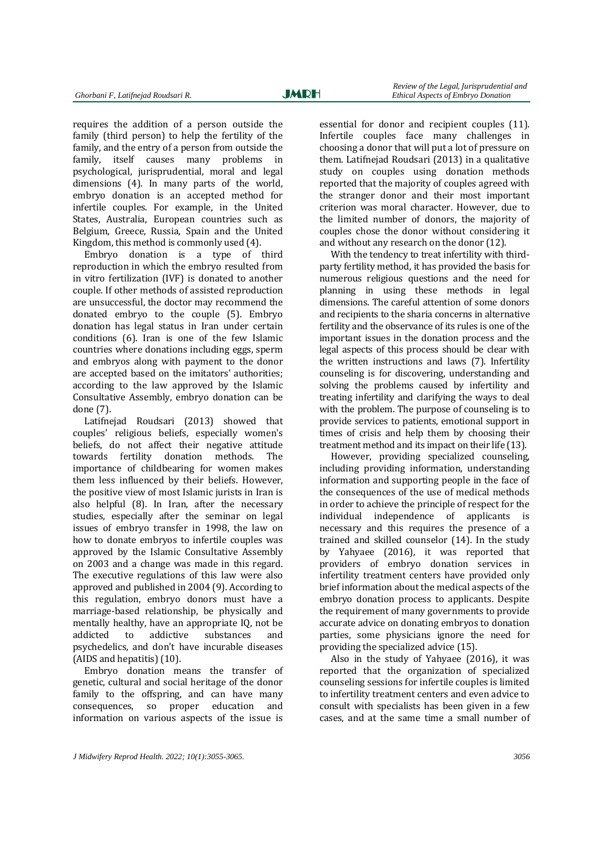requires the addition of a person outside the family (third person) to help the fertility of the family, and the entry of a person from outside the family, itself causes many problems in psychological, jurisprudential, moral and legal dimensions (4). In many parts of the world, embryo donation is an accepted method for infertile couples. For example, in the United States, Australia, European countries such as Belgium, Greece, Russia, Spain and the United Kingdom, this method is commonly used (4).

Embryo donation is a type of third reproduction in which the embryo resulted from in vitro fertilization (IVF) is donated to another couple. If other methods of assisted reproduction are unsuccessful, the doctor may recommend the donated embryo to the couple (5). Embryo donation has legal status in Iran under certain conditions (6). Iran is one of the few Islamic countries where donations including eggs, sperm and embryos along with payment to the donor are accepted based on the imitators' authorities; according to the law approved by the Islamic Consultative Assembly, embryo donation can be done (7).

Latifnejad Roudsari (2013) showed that couples' religious beliefs, especially women's beliefs, do not affect their negative attitude towards fertility donation methods. The importance of childbearing for women makes them less influenced by their beliefs. However, the positive view of most Islamic jurists in Iran is also helpful (8). In Iran, after the necessary studies, especially after the seminar on legal issues of embryo transfer in 1998, the law on how to donate embryos to infertile couples was approved by the Islamic Consultative Assembly on 2003 and a change was made in this regard. The executive regulations of this law were also approved and published in 2004 (9). According to this regulation, embryo donors must have a marriage-based relationship, be physically and mentally healthy, have an appropriate IQ, not be addicted to addictive substances and psychedelics, and don't have incurable diseases (AIDS and hepatitis) (10).

Embryo donation means the transfer of genetic, cultural and social heritage of the donor family to the offspring, and can have many consequences, so proper education and information on various aspects of the issue is

essential for donor and recipient couples (11). Infertile couples face many challenges in choosing a donor that will put a lot of pressure on them. Latifnejad Roudsari (2013) in a qualitative study on couples using donation methods reported that the majority of couples agreed with the stranger donor and their most important criterion was moral character. However, due to the limited number of donors, the majority of couples chose the donor without considering it and without any research on the donor (12).

With the tendency to treat infertility with thirdparty fertility method, it has provided the basis for numerous religious questions and the need for planning in using these methods in legal dimensions. The careful attention of some donors and recipients to the sharia concerns in alternative fertility and the observance of its rules is one of the important issues in the donation process and the legal aspects of this process should be clear with the written instructions and laws (7). Infertility counseling is for discovering, understanding and solving the problems caused by infertility and treating infertility and clarifying the ways to deal with the problem. The purpose of counseling is to provide services to patients, emotional support in times of crisis and help them by choosing their treatment method and its impact on their life (13).

However, providing specialized counseling, including providing information, understanding information and supporting people in the face of the consequences of the use of medical methods in order to achieve the principle of respect for the individual independence of applicants is necessary and this requires the presence of a trained and skilled counselor (14). In the study by Yahyaee (2016), it was reported that providers of embryo donation services in infertility treatment centers have provided only brief information about the medical aspects of the embryo donation process to applicants. Despite the requirement of many governments to provide accurate advice on donating embryos to donation parties, some physicians ignore the need for providing the specialized advice (15).

Also in the study of Yahyaee (2016), it was reported that the organization of specialized counseling sessions for infertile couples is limited to infertility treatment centers and even advice to consult with specialists has been given in a few cases, and at the same time a small number of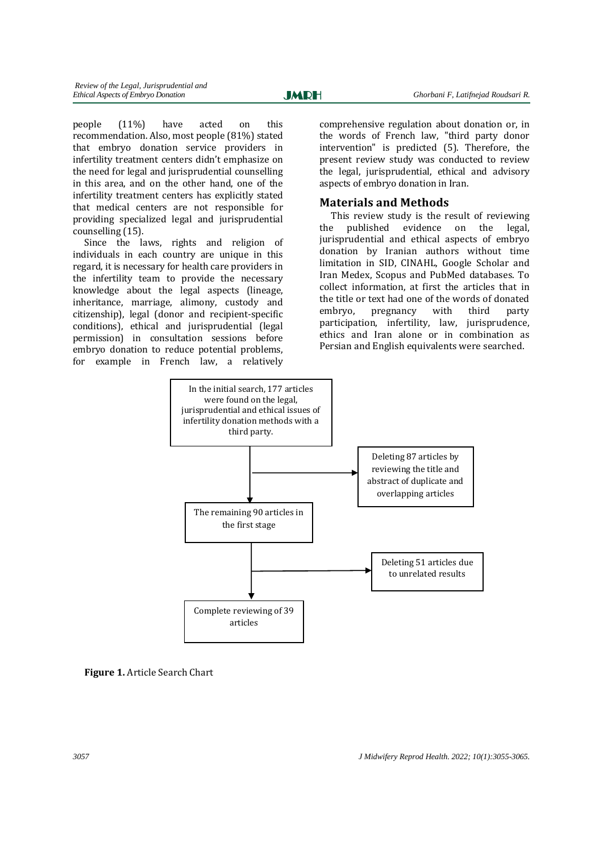people (11%) have acted on this recommendation. Also, most people (81%) stated that embryo donation service providers in infertility treatment centers didn't emphasize on the need for legal and jurisprudential counselling in this area, and on the other hand, one of the infertility treatment centers has explicitly stated that medical centers are not responsible for providing specialized legal and jurisprudential counselling (15).

Since the laws, rights and religion of individuals in each country are unique in this regard, it is necessary for health care providers in the infertility team to provide the necessary knowledge about the legal aspects (lineage, inheritance, marriage, alimony, custody and citizenship), legal (donor and recipient-specific conditions), ethical and jurisprudential (legal permission) in consultation sessions before embryo donation to reduce potential problems, for example in French law, a relatively

comprehensive regulation about donation or, in the words of French law, "third party donor intervention" is predicted (5). Therefore, the present review study was conducted to review the legal, jurisprudential, ethical and advisory aspects of embryo donation in Iran.

## **Materials and Methods**

This review study is the result of reviewing the published evidence on the legal, jurisprudential and ethical aspects of embryo donation by Iranian authors without time limitation in SID, CINAHL, Google Scholar and Iran Medex, Scopus and PubMed databases. To collect information, at first the articles that in the title or text had one of the words of donated embryo, pregnancy with third party participation, infertility, law, jurisprudence, ethics and Iran alone or in combination as Persian and English equivalents were searched.



**Figure 1.** Article Search Chart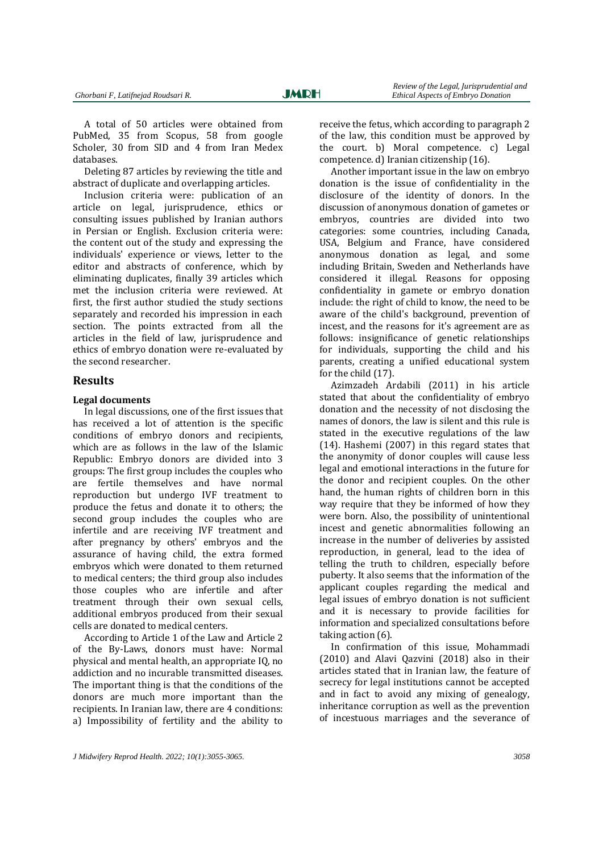A total of 50 articles were obtained from PubMed, 35 from Scopus, 58 from google Scholer, 30 from SID and 4 from Iran Medex databases.

Deleting 87 articles by reviewing the title and abstract of duplicate and overlapping articles.

Inclusion criteria were: publication of an article on legal, jurisprudence, ethics or consulting issues published by Iranian authors in Persian or English. Exclusion criteria were: the content out of the study and expressing the individuals' experience or views, letter to the editor and abstracts of conference, which by eliminating duplicates, finally 39 articles which met the inclusion criteria were reviewed. At first, the first author studied the study sections separately and recorded his impression in each section. The points extracted from all the articles in the field of law, jurisprudence and ethics of embryo donation were re-evaluated by the second researcher.

#### **Results**

#### **Legal documents**

In legal discussions, one of the first issues that has received a lot of attention is the specific conditions of embryo donors and recipients, which are as follows in the law of the Islamic Republic: Embryo donors are divided into 3 groups: The first group includes the couples who are fertile themselves and have normal reproduction but undergo IVF treatment to produce the fetus and donate it to others; the second group includes the couples who are infertile and are receiving IVF treatment and after pregnancy by others' embryos and the assurance of having child, the extra formed embryos which were donated to them returned to medical centers; the third group also includes those couples who are infertile and after treatment through their own sexual cells, additional embryos produced from their sexual cells are donated to medical centers.

According to Article 1 of the Law and Article 2 of the By-Laws, donors must have: Normal physical and mental health, an appropriate IQ, no addiction and no incurable transmitted diseases. The important thing is that the conditions of the donors are much more important than the recipients. In Iranian law, there are 4 conditions: a) Impossibility of fertility and the ability to receive the fetus, which according to paragraph 2 of the law, this condition must be approved by the court. b) Moral competence. c) Legal competence. d) Iranian citizenship (16).

Another important issue in the law on embryo donation is the issue of confidentiality in the disclosure of the identity of donors. In the discussion of anonymous donation of gametes or embryos, countries are divided into two categories: some countries, including Canada, USA, Belgium and France, have considered anonymous donation as legal, and some including Britain, Sweden and Netherlands have considered it illegal. Reasons for opposing confidentiality in gamete or embryo donation include: the right of child to know, the need to be aware of the child's background, prevention of incest, and the reasons for it's agreement are as follows: insignificance of genetic relationships for individuals, supporting the child and his parents, creating a unified educational system for the child (17).

Azimzadeh Ardabili (2011) in his article stated that about the confidentiality of embryo donation and the necessity of not disclosing the names of donors, the law is silent and this rule is stated in the executive regulations of the law (14). Hashemi (2007) in this regard states that the anonymity of donor couples will cause less legal and emotional interactions in the future for the donor and recipient couples. On the other hand, the human rights of children born in this way require that they be informed of how they were born. Also, the possibility of unintentional incest and genetic abnormalities following an increase in the number of deliveries by assisted reproduction, in general, lead to the idea of telling the truth to children, especially before puberty. It also seems that the information of the applicant couples regarding the medical and legal issues of embryo donation is not sufficient and it is necessary to provide facilities for information and specialized consultations before taking action (6).

In confirmation of this issue, Mohammadi (2010) and Alavi Qazvini (2018) also in their articles stated that in Iranian law, the feature of secrecy for legal institutions cannot be accepted and in fact to avoid any mixing of genealogy, inheritance corruption as well as the prevention of incestuous marriages and the severance of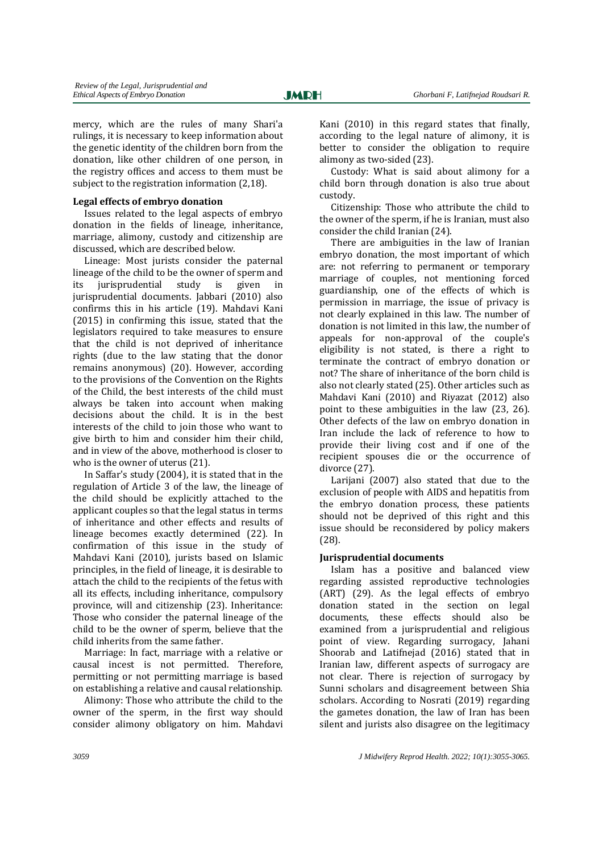mercy, which are the rules of many Shari'a rulings, it is necessary to keep information about the genetic identity of the children born from the donation, like other children of one person, in the registry offices and access to them must be subject to the registration information (2,18).

#### **Legal effects of embryo donation**

Issues related to the legal aspects of embryo donation in the fields of lineage, inheritance, marriage, alimony, custody and citizenship are discussed, which are described below.

Lineage: Most jurists consider the paternal lineage of the child to be the owner of sperm and its jurisprudential study is given in jurisprudential documents. Jabbari (2010) also confirms this in his article (19). Mahdavi Kani (2015) in confirming this issue, stated that the legislators required to take measures to ensure that the child is not deprived of inheritance rights (due to the law stating that the donor remains anonymous) (20). However, according to the provisions of the Convention on the Rights of the Child, the best interests of the child must always be taken into account when making decisions about the child. It is in the best interests of the child to join those who want to give birth to him and consider him their child, and in view of the above, motherhood is closer to who is the owner of uterus (21).

In Saffar's study (2004), it is stated that in the regulation of Article 3 of the law, the lineage of the child should be explicitly attached to the applicant couples so that the legal status in terms of inheritance and other effects and results of lineage becomes exactly determined (22). In confirmation of this issue in the study of Mahdavi Kani (2010), jurists based on Islamic principles, in the field of lineage, it is desirable to attach the child to the recipients of the fetus with all its effects, including inheritance, compulsory province, will and citizenship (23). Inheritance: Those who consider the paternal lineage of the child to be the owner of sperm, believe that the child inherits from the same father.

Marriage: In fact, marriage with a relative or causal incest is not permitted. Therefore, permitting or not permitting marriage is based on establishing a relative and causal relationship.

Alimony: Those who attribute the child to the owner of the sperm, in the first way should consider alimony obligatory on him. Mahdavi Kani (2010) in this regard states that finally, according to the legal nature of alimony, it is better to consider the obligation to require alimony as two-sided (23).

Custody: What is said about alimony for a child born through donation is also true about custody.

Citizenship: Those who attribute the child to the owner of the sperm, if he is Iranian, must also consider the child Iranian (24).

There are ambiguities in the law of Iranian embryo donation, the most important of which are: not referring to permanent or temporary marriage of couples, not mentioning forced guardianship, one of the effects of which is permission in marriage, the issue of privacy is not clearly explained in this law. The number of donation is not limited in this law, the number of appeals for non-approval of the couple's eligibility is not stated, is there a right to terminate the contract of embryo donation or not? The share of inheritance of the born child is also not clearly stated (25). Other articles such as Mahdavi Kani (2010) and Riyazat (2012) also point to these ambiguities in the law (23, 26). Other defects of the law on embryo donation in Iran include the lack of reference to how to provide their living cost and if one of the recipient spouses die or the occurrence of divorce (27).

Larijani (2007) also stated that due to the exclusion of people with AIDS and hepatitis from the embryo donation process, these patients should not be deprived of this right and this issue should be reconsidered by policy makers (28).

#### **Jurisprudential documents**

Islam has a positive and balanced view regarding assisted reproductive technologies (ART) (29). As the legal effects of embryo donation stated in the section on legal documents, these effects should also be examined from a jurisprudential and religious point of view. Regarding surrogacy, Jahani Shoorab and Latifnejad (2016) stated that in Iranian law, different aspects of surrogacy are not clear. There is rejection of surrogacy by Sunni scholars and disagreement between Shia scholars. According to Nosrati (2019) regarding the gametes donation, the law of Iran has been silent and jurists also disagree on the legitimacy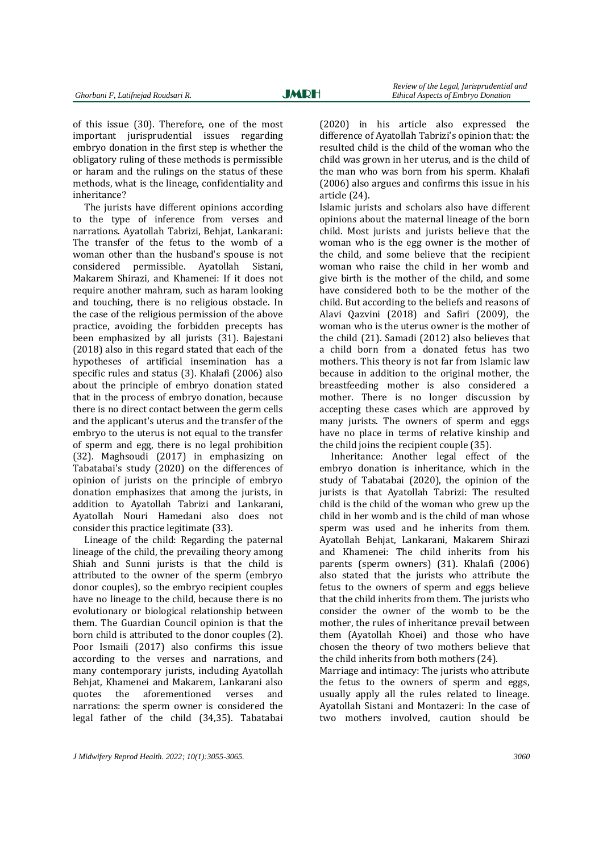of this issue (30). Therefore, one of the most important jurisprudential issues regarding embryo donation in the first step is whether the obligatory ruling of these methods is permissible or haram and the rulings on the status of these methods, what is the lineage, confidentiality and inheritance?

The jurists have different opinions according to the type of inference from verses and narrations. Ayatollah Tabrizi, Behjat, Lankarani: The transfer of the fetus to the womb of a woman other than the husband's spouse is not considered permissible. Ayatollah Sistani, Makarem Shirazi, and Khamenei: If it does not require another mahram, such as haram looking and touching, there is no religious obstacle. In the case of the religious permission of the above practice, avoiding the forbidden precepts has been emphasized by all jurists (31). Bajestani (2018) also in this regard stated that each of the hypotheses of artificial insemination has a specific rules and status (3). Khalafi (2006) also about the principle of embryo donation stated that in the process of embryo donation, because there is no direct contact between the germ cells and the applicant's uterus and the transfer of the embryo to the uterus is not equal to the transfer of sperm and egg, there is no legal prohibition (32). Maghsoudi (2017) in emphasizing on Tabatabai's study (2020) on the differences of opinion of jurists on the principle of embryo donation emphasizes that among the jurists, in addition to Ayatollah Tabrizi and Lankarani, Ayatollah Nouri Hamedani also does not consider this practice legitimate (33).

Lineage of the child: Regarding the paternal lineage of the child, the prevailing theory among Shiah and Sunni jurists is that the child is attributed to the owner of the sperm (embryo donor couples), so the embryo recipient couples have no lineage to the child, because there is no evolutionary or biological relationship between them. The Guardian Council opinion is that the born child is attributed to the donor couples (2). Poor Ismaili (2017) also confirms this issue according to the verses and narrations, and many contemporary jurists, including Ayatollah Behjat, Khamenei and Makarem, Lankarani also quotes the aforementioned verses and narrations: the sperm owner is considered the legal father of the child (34,35). Tabatabai (2020) in his article also expressed the difference of Ayatollah Tabrizi's opinion that: the resulted child is the child of the woman who the child was grown in her uterus, and is the child of the man who was born from his sperm. Khalafi (2006) also argues and confirms this issue in his article (24).

Islamic jurists and scholars also have different opinions about the maternal lineage of the born child. Most jurists and jurists believe that the woman who is the egg owner is the mother of the child, and some believe that the recipient woman who raise the child in her womb and give birth is the mother of the child, and some have considered both to be the mother of the child. But according to the beliefs and reasons of Alavi Qazvini (2018) and Safiri (2009), the woman who is the uterus owner is the mother of the child (21). Samadi (2012) also believes that a child born from a donated fetus has two mothers. This theory is not far from Islamic law because in addition to the original mother, the breastfeeding mother is also considered a mother. There is no longer discussion by accepting these cases which are approved by many jurists. The owners of sperm and eggs have no place in terms of relative kinship and the child joins the recipient couple (35).

Inheritance: Another legal effect of the embryo donation is inheritance, which in the study of Tabatabai (2020), the opinion of the jurists is that Ayatollah Tabrizi: The resulted child is the child of the woman who grew up the child in her womb and is the child of man whose sperm was used and he inherits from them. Ayatollah Behjat, Lankarani, Makarem Shirazi and Khamenei: The child inherits from his parents (sperm owners) (31). Khalafi (2006) also stated that the jurists who attribute the fetus to the owners of sperm and eggs believe that the child inherits from them. The jurists who consider the owner of the womb to be the mother, the rules of inheritance prevail between them (Ayatollah Khoei) and those who have chosen the theory of two mothers believe that the child inherits from both mothers (24).

Marriage and intimacy: The jurists who attribute the fetus to the owners of sperm and eggs, usually apply all the rules related to lineage. Ayatollah Sistani and Montazeri: In the case of two mothers involved, caution should be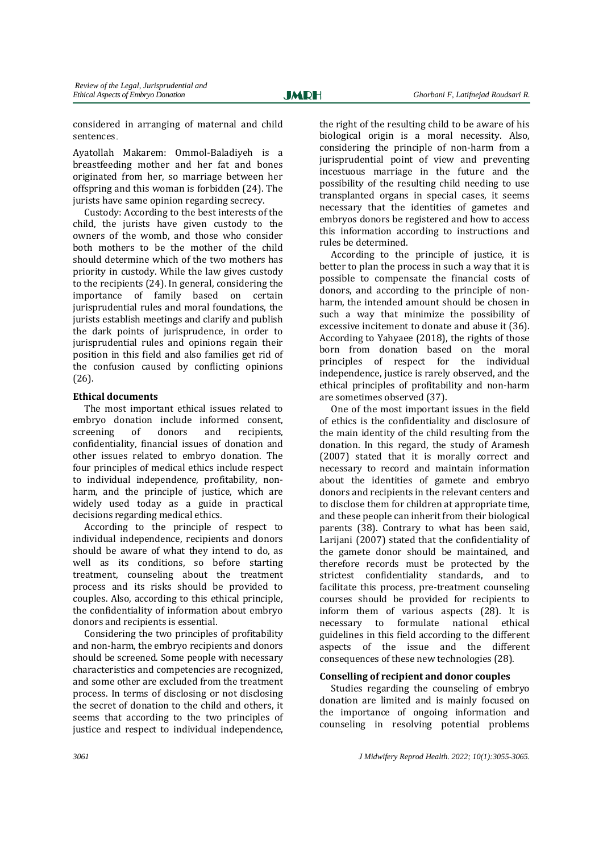considered in arranging of maternal and child sentences.

Ayatollah Makarem: Ommol-Baladiyeh is a breastfeeding mother and her fat and bones originated from her, so marriage between her offspring and this woman is forbidden (24). The jurists have same opinion regarding secrecy.

Custody: According to the best interests of the child, the jurists have given custody to the owners of the womb, and those who consider both mothers to be the mother of the child should determine which of the two mothers has priority in custody. While the law gives custody to the recipients (24). In general, considering the importance of family based on certain jurisprudential rules and moral foundations, the jurists establish meetings and clarify and publish the dark points of jurisprudence, in order to jurisprudential rules and opinions regain their position in this field and also families get rid of the confusion caused by conflicting opinions (26).

### **Ethical documents**

The most important ethical issues related to embryo donation include informed consent, screening of donors and recipients, confidentiality, financial issues of donation and other issues related to embryo donation. The four principles of medical ethics include respect to individual independence, profitability, nonharm, and the principle of justice, which are widely used today as a guide in practical decisions regarding medical ethics.

According to the principle of respect to individual independence, recipients and donors should be aware of what they intend to do, as well as its conditions, so before starting treatment, counseling about the treatment process and its risks should be provided to couples. Also, according to this ethical principle, the confidentiality of information about embryo donors and recipients is essential.

Considering the two principles of profitability and non-harm, the embryo recipients and donors should be screened. Some people with necessary characteristics and competencies are recognized, and some other are excluded from the treatment process. In terms of disclosing or not disclosing the secret of donation to the child and others, it seems that according to the two principles of justice and respect to individual independence.

the right of the resulting child to be aware of his biological origin is a moral necessity. Also, considering the principle of non-harm from a jurisprudential point of view and preventing incestuous marriage in the future and the possibility of the resulting child needing to use transplanted organs in special cases, it seems necessary that the identities of gametes and embryos donors be registered and how to access this information according to instructions and rules be determined.

According to the principle of justice, it is better to plan the process in such a way that it is possible to compensate the financial costs of donors, and according to the principle of nonharm, the intended amount should be chosen in such a way that minimize the possibility of excessive incitement to donate and abuse it (36). According to Yahyaee (2018), the rights of those born from donation based on the moral principles of respect for the individual independence, justice is rarely observed, and the ethical principles of profitability and non-harm are sometimes observed (37).

One of the most important issues in the field of ethics is the confidentiality and disclosure of the main identity of the child resulting from the donation. In this regard, the study of Aramesh (2007) stated that it is morally correct and necessary to record and maintain information about the identities of gamete and embryo donors and recipients in the relevant centers and to disclose them for children at appropriate time, and these people can inherit from their biological parents (38). Contrary to what has been said, Larijani (2007) stated that the confidentiality of the gamete donor should be maintained, and therefore records must be protected by the strictest confidentiality standards, and to facilitate this process, pre-treatment counseling courses should be provided for recipients to inform them of various aspects (28). It is necessary to formulate national ethical guidelines in this field according to the different aspects of the issue and the different consequences of these new technologies (28).

# **Conselling of recipient and donor couples**

Studies regarding the counseling of embryo donation are limited and is mainly focused on the importance of ongoing information and counseling in resolving potential problems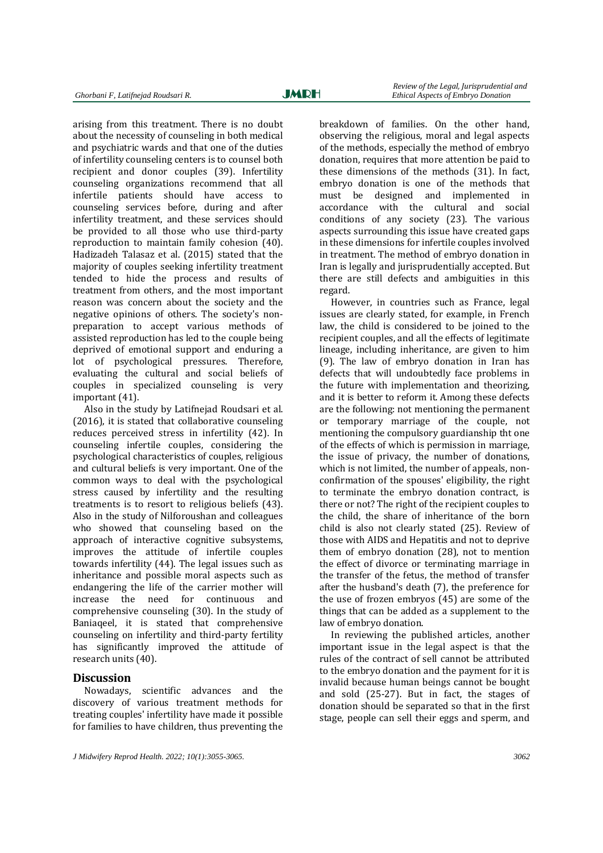arising from this treatment. There is no doubt about the necessity of counseling in both medical and psychiatric wards and that one of the duties of infertility counseling centers is to counsel both recipient and donor couples (39). Infertility counseling organizations recommend that all infertile patients should have access to counseling services before, during and after infertility treatment, and these services should be provided to all those who use third-party reproduction to maintain family cohesion (40). Hadizadeh Talasaz et al. (2015) stated that the majority of couples seeking infertility treatment tended to hide the process and results of treatment from others, and the most important reason was concern about the society and the negative opinions of others. The society's nonpreparation to accept various methods of assisted reproduction has led to the couple being deprived of emotional support and enduring a lot of psychological pressures. Therefore, evaluating the cultural and social beliefs of couples in specialized counseling is very important (41).

Also in the study by Latifnejad Roudsari et al. (2016), it is stated that collaborative counseling reduces perceived stress in infertility (42). In counseling infertile couples, considering the psychological characteristics of couples, religious and cultural beliefs is very important. One of the common ways to deal with the psychological stress caused by infertility and the resulting treatments is to resort to religious beliefs (43). Also in the study of Nilforoushan and colleagues who showed that counseling based on the approach of interactive cognitive subsystems, improves the attitude of infertile couples towards infertility (44). The legal issues such as inheritance and possible moral aspects such as endangering the life of the carrier mother will increase the need for continuous and comprehensive counseling (30). In the study of Baniaqeel, it is stated that comprehensive counseling on infertility and third-party fertility has significantly improved the attitude of research units (40).

#### **Discussion**

Nowadays, scientific advances and the discovery of various treatment methods for treating couples' infertility have made it possible for families to have children, thus preventing the breakdown of families. On the other hand, observing the religious, moral and legal aspects of the methods, especially the method of embryo donation, requires that more attention be paid to these dimensions of the methods (31). In fact, embryo donation is one of the methods that must be designed and implemented in accordance with the cultural and social

conditions of any society (23). The various aspects surrounding this issue have created gaps in these dimensions for infertile couples involved in treatment. The method of embryo donation in Iran is legally and jurisprudentially accepted. But there are still defects and ambiguities in this regard.

However, in countries such as France, legal issues are clearly stated, for example, in French law, the child is considered to be joined to the recipient couples, and all the effects of legitimate lineage, including inheritance, are given to him (9). The law of embryo donation in Iran has defects that will undoubtedly face problems in the future with implementation and theorizing, and it is better to reform it. Among these defects are the following: not mentioning the permanent or temporary marriage of the couple, not mentioning the compulsory guardianship tht one of the effects of which is permission in marriage, the issue of privacy, the number of donations, which is not limited, the number of appeals, nonconfirmation of the spouses' eligibility, the right to terminate the embryo donation contract, is there or not? The right of the recipient couples to the child, the share of inheritance of the born child is also not clearly stated (25). Review of those with AIDS and Hepatitis and not to deprive them of embryo donation (28), not to mention the effect of divorce or terminating marriage in the transfer of the fetus, the method of transfer after the husband's death (7), the preference for the use of frozen embryos (45) are some of the things that can be added as a supplement to the law of embryo donation.

In reviewing the published articles, another important issue in the legal aspect is that the rules of the contract of sell cannot be attributed to the embryo donation and the payment for it is invalid because human beings cannot be bought and sold (25-27). But in fact, the stages of donation should be separated so that in the first stage, people can sell their eggs and sperm, and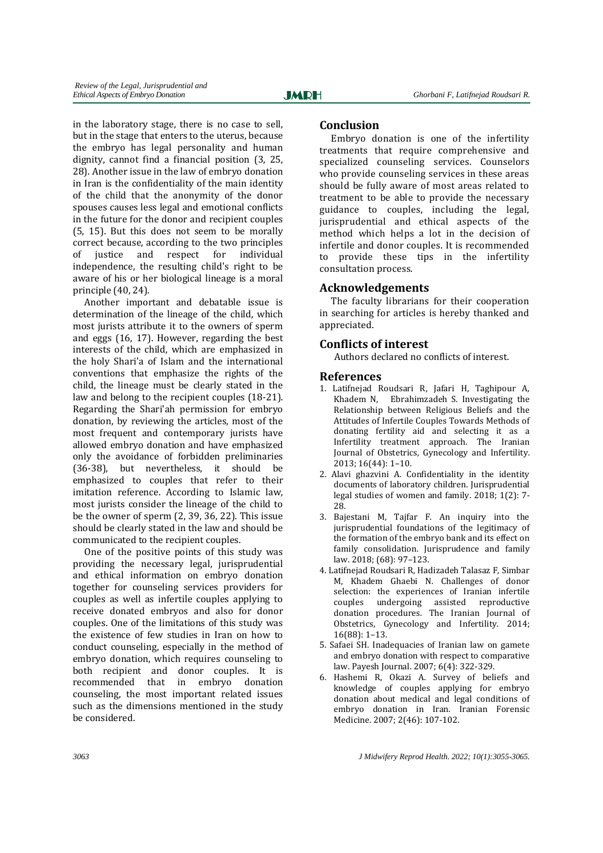in the laboratory stage, there is no case to sell, but in the stage that enters to the uterus, because the embryo has legal personality and human dignity, cannot find a financial position (3, 25, 28). Another issue in the law of embryo donation in Iran is the confidentiality of the main identity of the child that the anonymity of the donor spouses causes less legal and emotional conflicts in the future for the donor and recipient couples (5, 15). But this does not seem to be morally correct because, according to the two principles of justice and respect for individual independence, the resulting child's right to be aware of his or her biological lineage is a moral principle (40, 24).

Another important and debatable issue is determination of the lineage of the child, which most jurists attribute it to the owners of sperm and eggs (16, 17). However, regarding the best interests of the child, which are emphasized in the holy Shari'a of Islam and the international conventions that emphasize the rights of the child, the lineage must be clearly stated in the law and belong to the recipient couples (18-21). Regarding the Shari'ah permission for embryo donation, by reviewing the articles, most of the most frequent and contemporary jurists have allowed embryo donation and have emphasized only the avoidance of forbidden preliminaries (36-38), but nevertheless, it should be emphasized to couples that refer to their imitation reference. According to Islamic law, most jurists consider the lineage of the child to be the owner of sperm (2, 39, 36, 22). This issue should be clearly stated in the law and should be communicated to the recipient couples.

One of the positive points of this study was providing the necessary legal, jurisprudential and ethical information on embryo donation together for counseling services providers for couples as well as infertile couples applying to receive donated embryos and also for donor couples. One of the limitations of this study was the existence of few studies in Iran on how to conduct counseling, especially in the method of embryo donation, which requires counseling to both recipient and donor couples. It is recommended that in embryo donation counseling, the most important related issues such as the dimensions mentioned in the study be considered.

# **Conclusion**

Embryo donation is one of the infertility treatments that require comprehensive and specialized counseling services. Counselors who provide counseling services in these areas should be fully aware of most areas related to treatment to be able to provide the necessary guidance to couples, including the legal, jurisprudential and ethical aspects of the method which helps a lot in the decision of infertile and donor couples. It is recommended to provide these tips in the infertility consultation process.

# **Acknowledgements**

The faculty librarians for their cooperation in searching for articles is hereby thanked and appreciated.

# **Conflicts of interest**

Authors declared no conflicts of interest.

# **References**

- 1. Latifnejad Roudsari R, Jafari H, Taghipour A, Khadem N, Ebrahimzadeh S. Investigating the Relationship between Religious Beliefs and the Attitudes of Infertile Couples Towards Methods of donating fertility aid and selecting it as a Infertility treatment approach. The Iranian Journal of Obstetrics, Gynecology and Infertility. 2013; 16(44): 1–10.
- 2. Alavi ghazvini A. Confidentiality in the identity documents of laboratory children. Jurisprudential legal studies of women and family. 2018; 1(2): 7- 28.
- 3. Bajestani M, Tajfar F. An inquiry into the jurisprudential foundations of the legitimacy of the formation of the embryo bank and its effect on family consolidation. Jurisprudence and family law. 2018; (68): 97–123.
- 4. Latifnejad Roudsari R, Hadizadeh Talasaz F, Simbar M, Khadem Ghaebi N. Challenges of donor selection: the experiences of Iranian infertile couples undergoing assisted reproductive donation procedures. The Iranian Journal of Obstetrics, Gynecology and Infertility. 2014; 16(88): 1–13.
- 5. Safaei SH. Inadequacies of Iranian law on gamete and embryo donation with respect to comparative law. Payesh Journal. 2007; 6(4): 322-329.
- 6. Hashemi R, Okazi A. Survey of beliefs and knowledge of couples applying for embryo donation about medical and legal conditions of embryo donation in Iran. Iranian Forensic Medicine. 2007; 2(46): 107-102.

*3063 J Midwifery Reprod Health. 2022; 10(1):3055-3065.*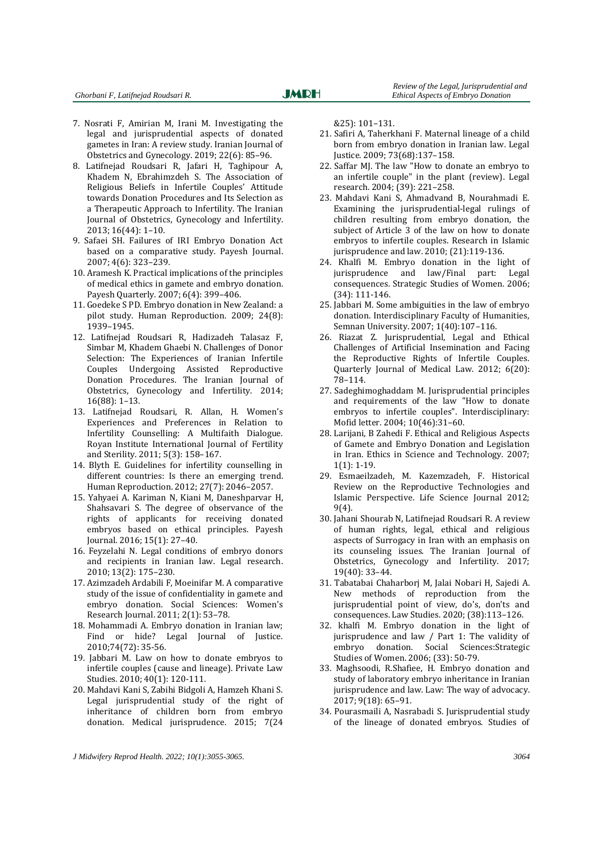- 7. Nosrati F, Amirian M, Irani M. Investigating the legal and jurisprudential aspects of donated gametes in Iran: A review study. Iranian Journal of Obstetrics and Gynecology. 2019; 22(6): 85–96.
- 8. Latifnejad Roudsari R, Jafari H, Taghipour A, Khadem N, Ebrahimzdeh S. The Association of Religious Beliefs in Infertile Couples' Attitude towards Donation Procedures and Its Selection as a Therapeutic Approach to Infertility. The Iranian Journal of Obstetrics, Gynecology and Infertility. 2013; 16(44): 1–10.
- 9. Safaei SH. Failures of IRI Embryo Donation Act based on a comparative study. Payesh Journal. 2007; 4(6): 323–239.
- 10. Aramesh K. Practical implications of the principles of medical ethics in gamete and embryo donation. Payesh Quarterly. 2007; 6(4): 399–406.
- 11. Goedeke S PD. Embryo donation in New Zealand: a pilot study. Human Reproduction. 2009; 24(8): 1939–1945.
- 12. Latifnejad Roudsari R, Hadizadeh Talasaz F, Simbar M, Khadem Ghaebi N. Challenges of Donor Selection: The Experiences of Iranian Infertile Couples Undergoing Assisted Reproductive Donation Procedures. The Iranian Journal of Obstetrics, Gynecology and Infertility. 2014; 16(88): 1–13.
- 13. Latifnejad Roudsari, R. Allan, H. Women's Experiences and Preferences in Relation to Infertility Counselling: A Multifaith Dialogue. Royan Institute International Journal of Fertility and Sterility. 2011; 5(3): 158–167.
- 14. Blyth E. Guidelines for infertility counselling in different countries: Is there an emerging trend. Human Reproduction. 2012; 27(7): 2046–2057.
- 15. Yahyaei A. Kariman N, Kiani M, Daneshparvar H, Shahsavari S. The degree of observance of the rights of applicants for receiving donated embryos based on ethical principles. Payesh Journal. 2016; 15(1): 27–40.
- 16. Feyzelahi N. Legal conditions of embryo donors and recipients in Iranian law. Legal research. 2010; 13(2): 175–230.
- 17. Azimzadeh Ardabili F, Moeinifar M. A comparative study of the issue of confidentiality in gamete and embryo donation. Social Sciences: Women's Research Journal. 2011; 2(1): 53–78.
- 18. Mohammadi A. Embryo donation in Iranian law; Find or hide? Legal Journal of Justice. 2010;74(72): 35-56.
- 19. Jabbari M. Law on how to donate embryos to infertile couples (cause and lineage). Private Law Studies. 2010; 40(1): 120-111.
- 20. Mahdavi Kani S, Zabihi Bidgoli A, Hamzeh Khani S. Legal jurisprudential study of the right of inheritance of children born from embryo donation. Medical jurisprudence. 2015; 7(24

&25): 101–131.

- 21. Safiri A, Taherkhani F. Maternal lineage of a child born from embryo donation in Iranian law. Legal Justice. 2009; 73(68):137–158.
- 22. Saffar MJ. The law "How to donate an embryo to an infertile couple" in the plant (review). Legal research. 2004; (39): 221–258.
- 23. Mahdavi Kani S, Ahmadvand B, Nourahmadi E. Examining the jurisprudential-legal rulings of children resulting from embryo donation, the subject of Article 3 of the law on how to donate embryos to infertile couples. Research in Islamic jurisprudence and law. 2010; (21):119-136.
- 24. Khalfi M. Embryo donation in the light of jurisprudence and law/Final part: Legal consequences. Strategic Studies of Women. 2006; (34): 111-146.
- 25. Jabbari M. Some ambiguities in the law of embryo donation. Interdisciplinary Faculty of Humanities, Semnan University. 2007; 1(40):107–116.
- 26. Riazat Z. Jurisprudential, Legal and Ethical Challenges of Artificial Insemination and Facing the Reproductive Rights of Infertile Couples. Quarterly Journal of Medical Law. 2012; 6(20): 78–114.
- 27. Sadeghimoghaddam M. Jurisprudential principles and requirements of the law "How to donate embryos to infertile couples". Interdisciplinary: Mofid letter. 2004; 10(46):31–60.
- 28. Larijani, B Zahedi F. Ethical and Religious Aspects of Gamete and Embryo Donation and Legislation in Iran. Ethics in Science and Technology. 2007; 1(1): 1-19.
- 29. Esmaeilzadeh, M. Kazemzadeh, F. Historical Review on the Reproductive Technologies and Islamic Perspective. Life Science Journal 2012; 9(4).
- 30. Jahani Shourab N, Latifnejad Roudsari R. A review of human rights, legal, ethical and religious aspects of Surrogacy in Iran with an emphasis on its counseling issues. The Iranian Journal of Obstetrics, Gynecology and Infertility. 2017; 19(40): 33–44.
- 31. Tabatabai Chaharborj M, Jalai Nobari H, Sajedi A. New methods of reproduction from the jurisprudential point of view, do's, don'ts and consequences. Law Studies. 2020; (38):113–126.
- 32. khalfi M. Embryo donation in the light of jurisprudence and law / Part 1: The validity of embryo donation. Social Sciences:Strategic Studies of Women. 2006; (33): 50-79.
- 33. Maghsoodi, R.Shafiee, H. Embryo donation and study of laboratory embryo inheritance in Iranian jurisprudence and law. Law: The way of advocacy. 2017; 9(18): 65–91.
- 34. Pourasmaili A, Nasrabadi S. Jurisprudential study of the lineage of donated embryos. Studies of

*J Midwifery Reprod Health. 2022; 10(1):3055-3065. 3064*